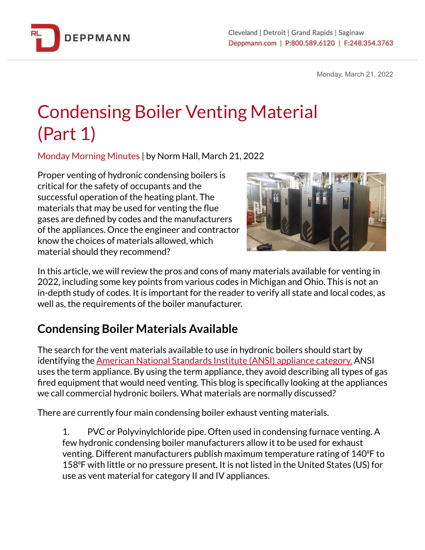

Monday, March 21, 2022

## Condensing Boiler Venting Material (Part 1)

Monday Morning Minutes | by Norm Hall, March 21, 2022

Proper venting of hydronic condensing boilers is critical for the safety of occupants and the successful operation of the heating plant. The materials that may be used for venting the flue gases are defined by codes and the manufacturers of the appliances. Once the engineer and contractor know the choices of materials allowed, which material should they recommend?



In this article, we will review the pros and cons of many materials available for venting in 2022, including some key points from various codes in Michigan and Ohio. This is not an in-depth study of codes. It is important for the reader to verify all state and local codes, as well as, the requirements of the boiler manufacturer.

## **Condensing Boiler Materials Available**

The search for the vent materials available to use in hydronic boilers should start by identifying the American National [Standards](https://bit.ly/3wfTL1P) Institute (ANSI) appliance category. ANSI uses the term appliance. By using the term appliance, they avoid describing all types of gas fired equipment that would need venting. This blog is specifically looking at the appliances we call commercial hydronic boilers. What materials are normally discussed?

There are currently four main condensing boiler exhaust venting materials.

1. PVC or Polyvinylchloride pipe. Often used in condensing furnace venting. A few hydronic condensing boiler manufacturers allow it to be used for exhaust venting. Different manufacturers publish maximum temperature rating of 140⁰F to 158⁰F with little or no pressure present. It is not listed in the United States (US) for use as vent material for category II and IV appliances.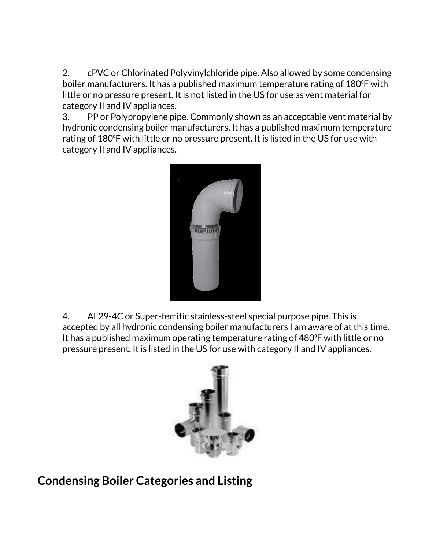2. cPVC or Chlorinated Polyvinylchloride pipe. Also allowed by some condensing boiler manufacturers. It has a published maximum temperature rating of 180 °F with little or no pressure present. It is not listed in the US for use as vent material for category II and IV appliances.

3. PP or Polypropylene pipe. Commonly shown as an acceptable vent material by hydronic condensing boiler manufacturers. It has a published maximum temperature rating of 180°F with little or no pressure present. It is listed in the US for use with category II and IV appliances.



4. AL29-4C or Super-ferritic stainless-steel special purpose pipe. This is accepted by all hydronic condensing boiler manufacturers I am aware of at this time. It has a published maximum operating temperature rating of 480°F with little or no pressure present. It is listed in the US for use with category II and IV appliances.



**Condensing Boiler Categories and Listing**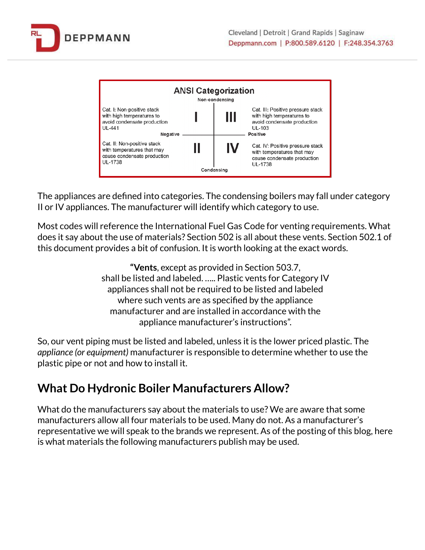



The appliances are defined into categories. The condensing boilers may fall under category II or IV appliances. The manufacturer will identify which category to use.

Most codes will reference the International Fuel Gas Code for venting requirements. What does it say about the use of materials? Section 502 is all about these vents. Section 502.1 of this document provides a bit of confusion. It is worth looking at the exact words.

> **"Vents**, except as provided in Section 503.7, shall be listed and labeled. ….. Plastic vents for Category IV appliances shall not be required to be listed and labeled where such vents are as specified by the appliance manufacturer and are installed in accordance with the appliance manufacturer's instructions".

So, our vent piping must be listed and labeled, unless it is the lower priced plastic. The *appliance (or equipment)* manufacturer is responsible to determine whether to use the plastic pipe or not and how to install it.

## **What Do Hydronic Boiler Manufacturers Allow?**

What do the manufacturers say about the materials to use? We are aware that some manufacturers allow all four materials to be used. Many do not. As a manufacturer's representative we will speak to the brands we represent. As of the posting of this blog, here is what materials the following manufacturers publish may be used.